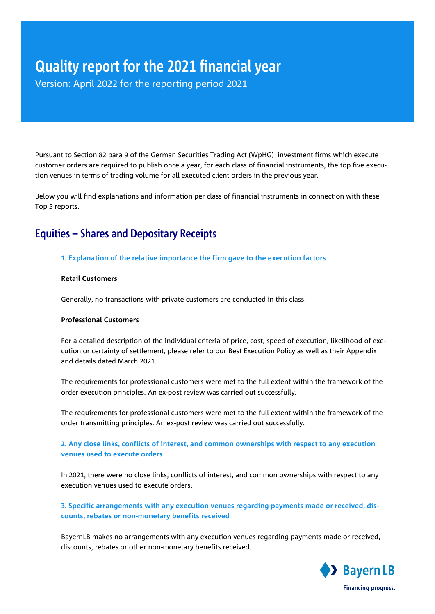# Quality report for the 2021 financial year

Version: April 2022 for the reporting period 2021

Pursuant to Section 82 para 9 of the German Securities Trading Act (WpHG) investment firms which execute customer orders are required to publish once a year, for each class of financial instruments, the top five execution venues in terms of trading volume for all executed client orders in the previous year.

Below you will find explanations and information per class of financial instruments in connection with these Top 5 reports.

# Equities – Shares and Depositary Receipts

# **1. Explanation of the relative importance the firm gave to the execution factors**

### **Retail Customers**

Generally, no transactions with private customers are conducted in this class.

### **Professional Customers**

For a detailed description of the individual criteria of price, cost, speed of execution, likelihood of execution or certainty of settlement, please refer to our Best Execution Policy as well as their Appendix and details dated March 2021.

The requirements for professional customers were met to the full extent within the framework of the order execution principles. An ex-post review was carried out successfully.

The requirements for professional customers were met to the full extent within the framework of the order transmitting principles. An ex-post review was carried out successfully.

# **2. Any close links, conflicts of interest, and common ownerships with respect to any execution venues used to execute orders**

In 2021, there were no close links, conflicts of interest, and common ownerships with respect to any execution venues used to execute orders.

# **3. Specific arrangements with any execution venues regarding payments made or received, discounts, rebates or non-monetary benefits received**

BayernLB makes no arrangements with any execution venues regarding payments made or received, discounts, rebates or other non-monetary benefits received.

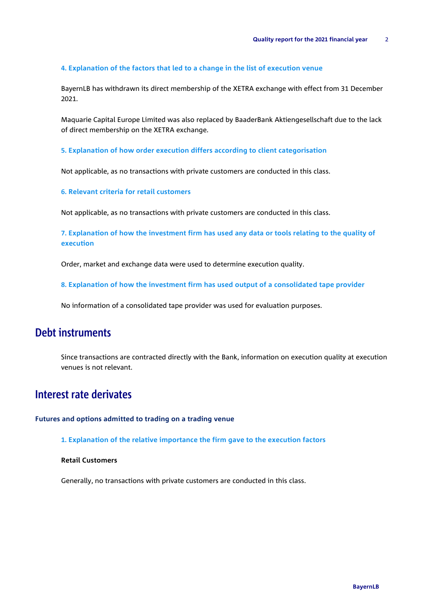#### **4. Explanation of the factors that led to a change in the list of execution venue**

BayernLB has withdrawn its direct membership of the XETRA exchange with effect from 31 December 2021.

Maquarie Capital Europe Limited was also replaced by BaaderBank Aktiengesellschaft due to the lack of direct membership on the XETRA exchange.

**5. Explanation of how order execution differs according to client categorisation** 

Not applicable, as no transactions with private customers are conducted in this class.

**6. Relevant criteria for retail customers**

Not applicable, as no transactions with private customers are conducted in this class.

**7. Explanation of how the investment firm has used any data or tools relating to the quality of execution** 

Order, market and exchange data were used to determine execution quality.

**8. Explanation of how the investment firm has used output of a consolidated tape provider**

No information of a consolidated tape provider was used for evaluation purposes.

# Debt instruments

Since transactions are contracted directly with the Bank, information on execution quality at execution venues is not relevant.

# Interest rate derivates

**Futures and options admitted to trading on a trading venue**

**1. Explanation of the relative importance the firm gave to the execution factors**

### **Retail Customers**

Generally, no transactions with private customers are conducted in this class.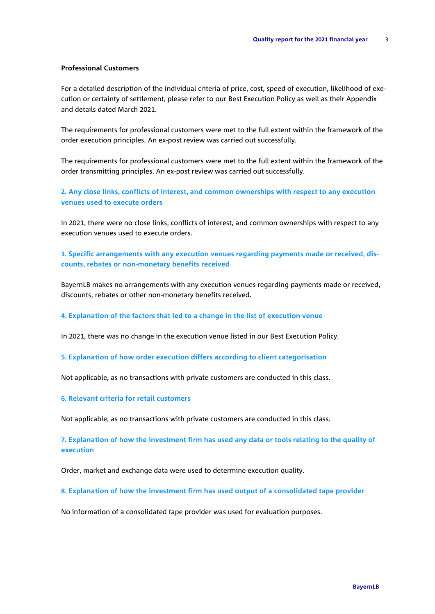### **Professional Customers**

For a detailed description of the individual criteria of price, cost, speed of execution, likelihood of execution or certainty of settlement, please refer to our Best Execution Policy as well as their Appendix and details dated March 2021.

The requirements for professional customers were met to the full extent within the framework of the order execution principles. An ex-post review was carried out successfully.

The requirements for professional customers were met to the full extent within the framework of the order transmitting principles. An ex-post review was carried out successfully.

**2. Any close links, conflicts of interest, and common ownerships with respect to any execution venues used to execute orders**

In 2021, there were no close links, conflicts of interest, and common ownerships with respect to any execution venues used to execute orders.

## **3. Specific arrangements with any execution venues regarding payments made or received, discounts, rebates or non-monetary benefits received**

BayernLB makes no arrangements with any execution venues regarding payments made or received, discounts, rebates or other non-monetary benefits received.

#### **4. Explanation of the factors that led to a change in the list of execution venue**

In 2021, there was no change in the execution venue listed in our Best Execution Policy.

#### **5. Explanation of how order execution differs according to client categorisation**

Not applicable, as no transactions with private customers are conducted in this class.

#### **6. Relevant criteria for retail customers**

Not applicable, as no transactions with private customers are conducted in this class.

### **7. Explanation of how the investment firm has used any data or tools relating to the quality of execution**

Order, market and exchange data were used to determine execution quality.

#### **8. Explanation of how the investment firm has used output of a consolidated tape provider**

No information of a consolidated tape provider was used for evaluation purposes.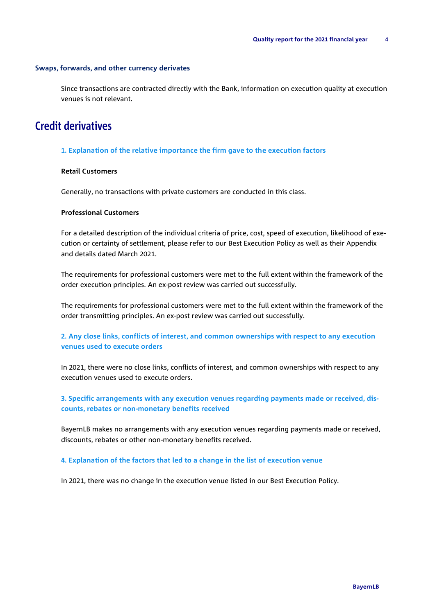#### **Swaps, forwards, and other currency derivates**

Since transactions are contracted directly with the Bank, information on execution quality at execution venues is not relevant.

# Credit derivatives

#### **1. Explanation of the relative importance the firm gave to the execution factors**

### **Retail Customers**

Generally, no transactions with private customers are conducted in this class.

#### **Professional Customers**

For a detailed description of the individual criteria of price, cost, speed of execution, likelihood of execution or certainty of settlement, please refer to our Best Execution Policy as well as their Appendix and details dated March 2021.

The requirements for professional customers were met to the full extent within the framework of the order execution principles. An ex-post review was carried out successfully.

The requirements for professional customers were met to the full extent within the framework of the order transmitting principles. An ex-post review was carried out successfully.

## **2. Any close links, conflicts of interest, and common ownerships with respect to any execution venues used to execute orders**

In 2021, there were no close links, conflicts of interest, and common ownerships with respect to any execution venues used to execute orders.

### **3. Specific arrangements with any execution venues regarding payments made or received, discounts, rebates or non-monetary benefits received**

BayernLB makes no arrangements with any execution venues regarding payments made or received, discounts, rebates or other non-monetary benefits received.

#### **4. Explanation of the factors that led to a change in the list of execution venue**

In 2021, there was no change in the execution venue listed in our Best Execution Policy.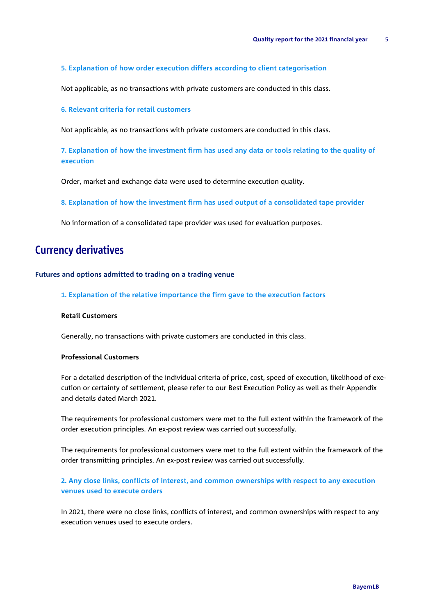#### **5. Explanation of how order execution differs according to client categorisation**

Not applicable, as no transactions with private customers are conducted in this class.

#### **6. Relevant criteria for retail customers**

Not applicable, as no transactions with private customers are conducted in this class.

**7. Explanation of how the investment firm has used any data or tools relating to the quality of execution** 

Order, market and exchange data were used to determine execution quality.

**8. Explanation of how the investment firm has used output of a consolidated tape provider**

No information of a consolidated tape provider was used for evaluation purposes.

# Currency derivatives

#### **Futures and options admitted to trading on a trading venue**

**1. Explanation of the relative importance the firm gave to the execution factors**

#### **Retail Customers**

Generally, no transactions with private customers are conducted in this class.

#### **Professional Customers**

For a detailed description of the individual criteria of price, cost, speed of execution, likelihood of execution or certainty of settlement, please refer to our Best Execution Policy as well as their Appendix and details dated March 2021.

The requirements for professional customers were met to the full extent within the framework of the order execution principles. An ex-post review was carried out successfully.

The requirements for professional customers were met to the full extent within the framework of the order transmitting principles. An ex-post review was carried out successfully.

## **2. Any close links, conflicts of interest, and common ownerships with respect to any execution venues used to execute orders**

In 2021, there were no close links, conflicts of interest, and common ownerships with respect to any execution venues used to execute orders.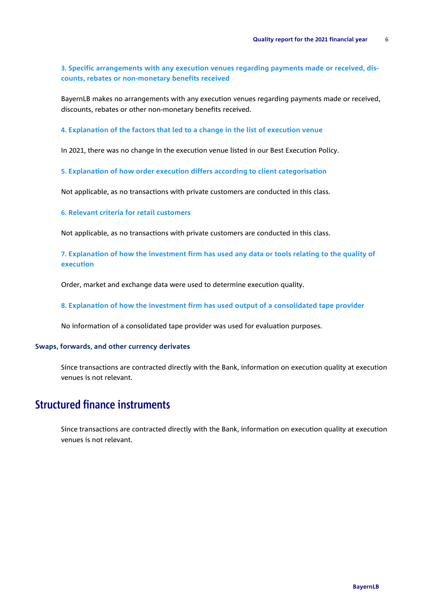**3. Specific arrangements with any execution venues regarding payments made or received, discounts, rebates or non-monetary benefits received**

BayernLB makes no arrangements with any execution venues regarding payments made or received, discounts, rebates or other non-monetary benefits received.

**4. Explanation of the factors that led to a change in the list of execution venue** 

In 2021, there was no change in the execution venue listed in our Best Execution Policy.

**5. Explanation of how order execution differs according to client categorisation** 

Not applicable, as no transactions with private customers are conducted in this class.

**6. Relevant criteria for retail customers**

Not applicable, as no transactions with private customers are conducted in this class.

**7. Explanation of how the investment firm has used any data or tools relating to the quality of execution** 

Order, market and exchange data were used to determine execution quality.

**8. Explanation of how the investment firm has used output of a consolidated tape provider**

No information of a consolidated tape provider was used for evaluation purposes.

#### **Swaps, forwards, and other currency derivates**

Since transactions are contracted directly with the Bank, information on execution quality at execution venues is not relevant.

# Structured finance instruments

Since transactions are contracted directly with the Bank, information on execution quality at execution venues is not relevant.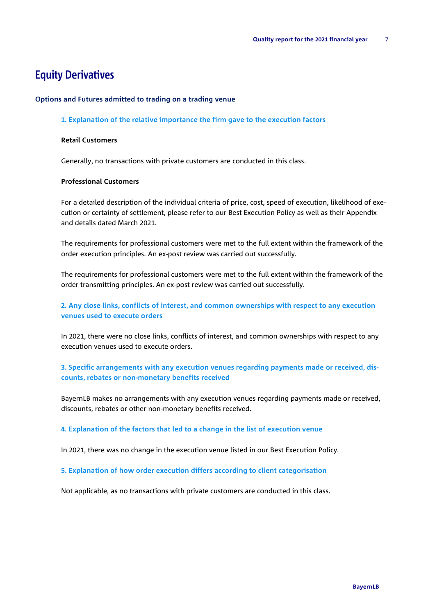# Equity Derivatives

#### **Options and Futures admitted to trading on a trading venue**

#### **1. Explanation of the relative importance the firm gave to the execution factors**

## **Retail Customers**

Generally, no transactions with private customers are conducted in this class.

#### **Professional Customers**

For a detailed description of the individual criteria of price, cost, speed of execution, likelihood of execution or certainty of settlement, please refer to our Best Execution Policy as well as their Appendix and details dated March 2021.

The requirements for professional customers were met to the full extent within the framework of the order execution principles. An ex-post review was carried out successfully.

The requirements for professional customers were met to the full extent within the framework of the order transmitting principles. An ex-post review was carried out successfully.

### **2. Any close links, conflicts of interest, and common ownerships with respect to any execution venues used to execute orders**

In 2021, there were no close links, conflicts of interest, and common ownerships with respect to any execution venues used to execute orders.

# **3. Specific arrangements with any execution venues regarding payments made or received, discounts, rebates or non-monetary benefits received**

BayernLB makes no arrangements with any execution venues regarding payments made or received, discounts, rebates or other non-monetary benefits received.

#### **4. Explanation of the factors that led to a change in the list of execution venue**

In 2021, there was no change in the execution venue listed in our Best Execution Policy.

#### **5. Explanation of how order execution differs according to client categorisation**

Not applicable, as no transactions with private customers are conducted in this class.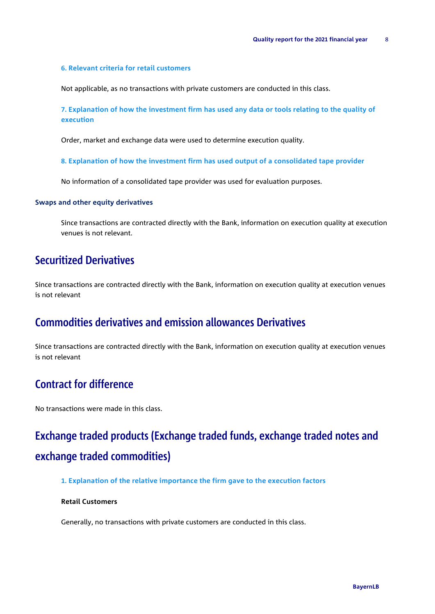#### **6. Relevant criteria for retail customers**

Not applicable, as no transactions with private customers are conducted in this class.

**7. Explanation of how the investment firm has used any data or tools relating to the quality of execution** 

Order, market and exchange data were used to determine execution quality.

**8. Explanation of how the investment firm has used output of a consolidated tape provider**

No information of a consolidated tape provider was used for evaluation purposes.

#### **Swaps and other equity derivatives**

Since transactions are contracted directly with the Bank, information on execution quality at execution venues is not relevant.

# Securitized Derivatives

Since transactions are contracted directly with the Bank, information on execution quality at execution venues is not relevant

# Commodities derivatives and emission allowances Derivatives

Since transactions are contracted directly with the Bank, information on execution quality at execution venues is not relevant

# Contract for difference

No transactions were made in this class.

# Exchange traded products (Exchange traded funds, exchange traded notes and exchange traded commodities)

#### **1. Explanation of the relative importance the firm gave to the execution factors**

#### **Retail Customers**

Generally, no transactions with private customers are conducted in this class.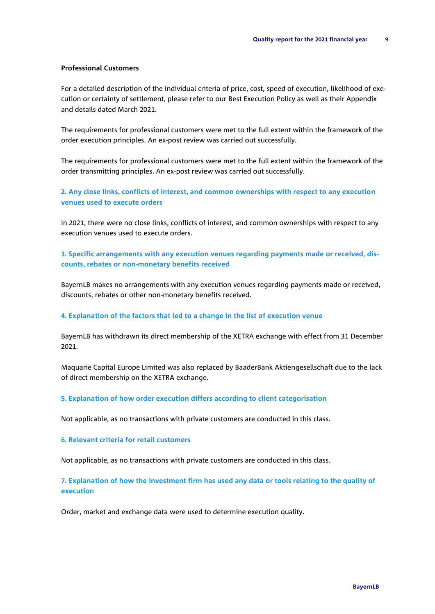#### **Professional Customers**

For a detailed description of the individual criteria of price, cost, speed of execution, likelihood of execution or certainty of settlement, please refer to our Best Execution Policy as well as their Appendix and details dated March 2021.

The requirements for professional customers were met to the full extent within the framework of the order execution principles. An ex-post review was carried out successfully.

The requirements for professional customers were met to the full extent within the framework of the order transmitting principles. An ex-post review was carried out successfully.

### **2. Any close links, conflicts of interest, and common ownerships with respect to any execution venues used to execute orders**

In 2021, there were no close links, conflicts of interest, and common ownerships with respect to any execution venues used to execute orders.

# **3. Specific arrangements with any execution venues regarding payments made or received, discounts, rebates or non-monetary benefits received**

BayernLB makes no arrangements with any execution venues regarding payments made or received, discounts, rebates or other non-monetary benefits received.

#### **4. Explanation of the factors that led to a change in the list of execution venue**

BayernLB has withdrawn its direct membership of the XETRA exchange with effect from 31 December 2021.

Maquarie Capital Europe Limited was also replaced by BaaderBank Aktiengesellschaft due to the lack of direct membership on the XETRA exchange.

#### **5. Explanation of how order execution differs according to client categorisation**

Not applicable, as no transactions with private customers are conducted in this class.

#### **6. Relevant criteria for retail customers**

Not applicable, as no transactions with private customers are conducted in this class.

### **7. Explanation of how the investment firm has used any data or tools relating to the quality of execution**

Order, market and exchange data were used to determine execution quality.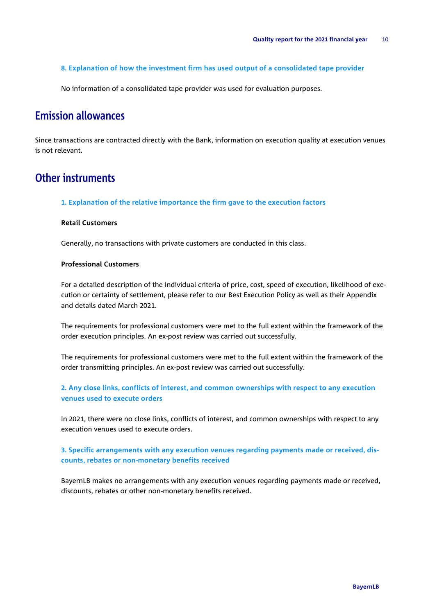**8. Explanation of how the investment firm has used output of a consolidated tape provider**

No information of a consolidated tape provider was used for evaluation purposes.

# Emission allowances

Since transactions are contracted directly with the Bank, information on execution quality at execution venues is not relevant.

# Other instruments

**1. Explanation of the relative importance the firm gave to the execution factors**

#### **Retail Customers**

Generally, no transactions with private customers are conducted in this class.

#### **Professional Customers**

For a detailed description of the individual criteria of price, cost, speed of execution, likelihood of execution or certainty of settlement, please refer to our Best Execution Policy as well as their Appendix and details dated March 2021.

The requirements for professional customers were met to the full extent within the framework of the order execution principles. An ex-post review was carried out successfully.

The requirements for professional customers were met to the full extent within the framework of the order transmitting principles. An ex-post review was carried out successfully.

# **2. Any close links, conflicts of interest, and common ownerships with respect to any execution venues used to execute orders**

In 2021, there were no close links, conflicts of interest, and common ownerships with respect to any execution venues used to execute orders.

# **3. Specific arrangements with any execution venues regarding payments made or received, discounts, rebates or non-monetary benefits received**

BayernLB makes no arrangements with any execution venues regarding payments made or received, discounts, rebates or other non-monetary benefits received.